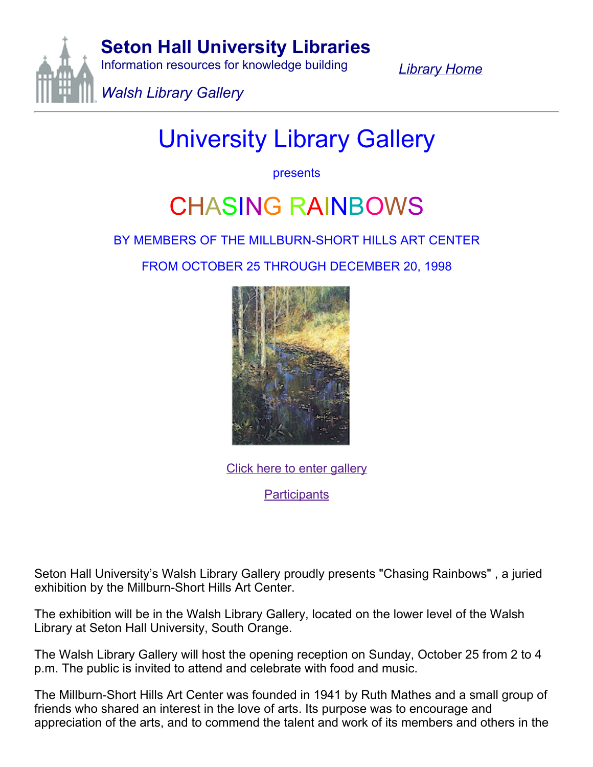

*[Library](http://academic.shu.edu/libraries/Default.htm) Home*

## University Library Gallery

presents

## CHASING RAINBOWS

## BY MEMBERS OF THE MILLBURN-SHORT HILLS ART CENTER

FROM OCTOBER 25 THROUGH DECEMBER 20, 1998



Click here to enter [gallery](http://academic.shu.edu/libraries/gallery/rainbgal.htm)

**[Participants](http://academic.shu.edu/libraries/gallery/partic.htm)** 

Seton Hall University's Walsh Library Gallery proudly presents "Chasing Rainbows" , a juried exhibition by the Millburn-Short Hills Art Center.

The exhibition will be in the Walsh Library Gallery, located on the lower level of the Walsh Library at Seton Hall University, South Orange.

The Walsh Library Gallery will host the opening reception on Sunday, October 25 from 2 to 4 p.m. The public is invited to attend and celebrate with food and music.

The Millburn-Short Hills Art Center was founded in 1941 by Ruth Mathes and a small group of friends who shared an interest in the love of arts. Its purpose was to encourage and appreciation of the arts, and to commend the talent and work of its members and others in the